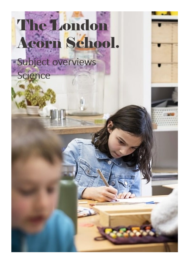## The London Acorn School.

Subject overviews Science



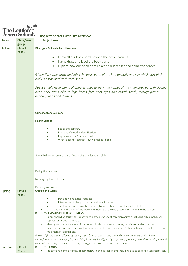| <b>The Londor</b> |                     |                                                                                                                                                                                                                              |  |  |
|-------------------|---------------------|------------------------------------------------------------------------------------------------------------------------------------------------------------------------------------------------------------------------------|--|--|
|                   | <b>Acorn School</b> |                                                                                                                                                                                                                              |  |  |
|                   |                     | Long Term Science Curriculum Overviews                                                                                                                                                                                       |  |  |
| <b>Term</b>       | Class /Year         | Subject area                                                                                                                                                                                                                 |  |  |
|                   | group               |                                                                                                                                                                                                                              |  |  |
| Autumn            | Class 1<br>Year 2   | <b>Biology-Animals inc. Humans</b>                                                                                                                                                                                           |  |  |
|                   |                     |                                                                                                                                                                                                                              |  |  |
|                   |                     | Know all our body parts beyond the basic features<br>$\bullet$                                                                                                                                                               |  |  |
|                   |                     | Name draw and label the body parts<br>$\bullet$                                                                                                                                                                              |  |  |
|                   |                     | Explore how our bodies are linked to our senses and name the senses<br>$\bullet$                                                                                                                                             |  |  |
|                   |                     | § identify, name, draw and label the basic parts of the human body and say which part of the<br>body is associated with each sense.                                                                                          |  |  |
|                   |                     | Pupils should have plenty of opportunities to learn the names of the main body parts (including<br>head, neck, arms, elbows, legs, knees, face, ears, eyes, hair, mouth, teeth) through games,<br>actions, songs and rhymes. |  |  |
|                   |                     | Our school and our park                                                                                                                                                                                                      |  |  |
|                   |                     | <b>Health Science</b>                                                                                                                                                                                                        |  |  |
|                   |                     |                                                                                                                                                                                                                              |  |  |
|                   |                     | Eating the Rainbow                                                                                                                                                                                                           |  |  |
|                   |                     | Fruit and Vegetable classification                                                                                                                                                                                           |  |  |
|                   |                     | Importance of a 'rounded' diet                                                                                                                                                                                               |  |  |
|                   |                     | What is healthy eating? How we fuel our bodies                                                                                                                                                                               |  |  |
|                   |                     |                                                                                                                                                                                                                              |  |  |
|                   |                     |                                                                                                                                                                                                                              |  |  |
|                   |                     |                                                                                                                                                                                                                              |  |  |
|                   |                     | Identify different smells game- Developing oral language skills.                                                                                                                                                             |  |  |
|                   |                     |                                                                                                                                                                                                                              |  |  |
|                   |                     |                                                                                                                                                                                                                              |  |  |
|                   |                     | Eating the rainbow                                                                                                                                                                                                           |  |  |
|                   |                     |                                                                                                                                                                                                                              |  |  |
|                   |                     | Naming my favourite tree                                                                                                                                                                                                     |  |  |
|                   |                     |                                                                                                                                                                                                                              |  |  |
|                   |                     | Drawing my favourite tree                                                                                                                                                                                                    |  |  |
| <b>Spring</b>     | Class 1<br>Year 2   | Change and Cycles                                                                                                                                                                                                            |  |  |
|                   |                     | Day and night cycles (routines)                                                                                                                                                                                              |  |  |
|                   |                     | Introduction to length of a day and how it varies                                                                                                                                                                            |  |  |
|                   |                     | The four seasons, how they occur, observed changes and the cycles of life                                                                                                                                                    |  |  |
|                   |                     | Order and name the days of the week and months of the year; recognise and name the seasons                                                                                                                                   |  |  |
|                   |                     | <b>BIOLOGY - ANIMALS INCLUDING HUMANS</b>                                                                                                                                                                                    |  |  |
|                   |                     | Pupils should be taught to: identify and name a variety of common animals including fish, amphibians,                                                                                                                        |  |  |
|                   |                     | reptiles, birds and mammals.                                                                                                                                                                                                 |  |  |
|                   |                     | identify and name a variety of common animals that are carnivores, herbivores and omnivores<br>describe and compare the structure of a variety of common animals (fish, amphibians, reptiles, birds and                      |  |  |
|                   |                     | mammals, including pets)                                                                                                                                                                                                     |  |  |
|                   |                     | Pupils might work scientifically by: using their observations to compare and contrast animals at first hand or                                                                                                               |  |  |
|                   |                     | through videos and photographs, describing how they identify and group them; grouping animals according to what                                                                                                              |  |  |
|                   |                     | they eat; and using their senses to compare different textures, sounds and smells                                                                                                                                            |  |  |
| Summer            | Class 1             | <b>BIOLOGY - PLANTS</b>                                                                                                                                                                                                      |  |  |
|                   | Year 2              | Identify and name a variety of common wild and garden plants including deciduous and evergreen trees.<br>$\bullet$                                                                                                           |  |  |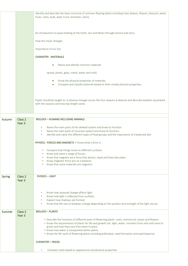|               |                   | Identify and describe the basic structure of common flowing plants including trees (leaves, flowers, blossom, petal,<br>fruits, roots, bulb, seed, trunk, branches, stem).                                            |
|---------------|-------------------|-----------------------------------------------------------------------------------------------------------------------------------------------------------------------------------------------------------------------|
|               |                   | An introduction to space looking at the Earth, Sun and Moon through picture and story.                                                                                                                                |
|               |                   | How the moon changes                                                                                                                                                                                                  |
|               |                   | Importance of our Sun                                                                                                                                                                                                 |
|               |                   | <b>CHEMISTRY - MATERIALS</b>                                                                                                                                                                                          |
|               |                   | Name and identify common materials                                                                                                                                                                                    |
|               |                   | (wood, plastic, glass, metal, water and rock)                                                                                                                                                                         |
|               |                   | Know the physical properties of materials.<br>$\bullet$<br>Compare and classify materials based on their simple physical properties.<br>$\bullet$                                                                     |
|               |                   | Pupils should be taught to: § observe changes across the four seasons § observe and describe weather associated<br>with the seasons and how day length varies.                                                        |
| Autumn        | Class 2           | <b>BIOLOGY - HUMANS INCLUDING ANIMALS</b>                                                                                                                                                                             |
|               | Year 3            | Name the main parts of the skeletal system and know its function.<br>$\bullet$                                                                                                                                        |
|               |                   | Name the main parts of muscular system and know its function.<br>$\bullet$<br>Identify and name the different types of food groups and the importance of a balanced diet.<br>$\bullet$                                |
|               |                   | <b>PHYSICS - FORCES AND MAGNETS • Know what a force is.</b>                                                                                                                                                           |
|               |                   | • Compare how things move on different surfaces.                                                                                                                                                                      |
|               |                   | Know and name a range of forces.<br>Know that magnets are a force that attract, repel and have two poles.                                                                                                             |
|               |                   | Know magnetic force acts at a distance.<br>Know that some materials are magnetic.<br>$\bullet$                                                                                                                        |
| <b>Spring</b> | Class 2           | <b>PHYSICS - LIGHT</b>                                                                                                                                                                                                |
|               | Year <sub>3</sub> |                                                                                                                                                                                                                       |
|               |                   | Know how seasonal change affects light.<br>٠                                                                                                                                                                          |
|               |                   | Know how light is reflected from surfaces.<br>٠<br>Explain how shadows are formed.<br>$\bullet$                                                                                                                       |
|               |                   | Know that the size of shadows change depending on the position and strength of the light source.<br>$\bullet$                                                                                                         |
| Summer        | Class 2<br>Year 3 | <b>BIOLOGY - PLANTS</b>                                                                                                                                                                                               |
|               |                   | • Describe the functions of different parts of flowering plants: roots, stem/trunk, leaves and flowers.<br>. Know the requirements of plants for life and growth (air, light, water, nutrients from soils and room to |
|               |                   | grow) and how they vary from plant to plant.<br>• Know how water is transported within plants.<br>• Know the life cycle of flowering plants including pollination, seed formation and seed dispersal.                 |
|               |                   | <b>CHEMISTRY - ROCKS</b>                                                                                                                                                                                              |
|               |                   |                                                                                                                                                                                                                       |
|               |                   | Compare rocks based on appearance and physical properties.                                                                                                                                                            |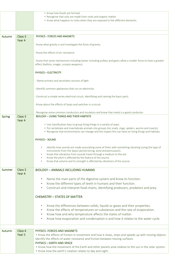|        |                   | • Know how fossils are formed.                                                                                                                                                                                 |
|--------|-------------------|----------------------------------------------------------------------------------------------------------------------------------------------------------------------------------------------------------------|
|        |                   | • Recognise that soils are made from rocks and organic matter.                                                                                                                                                 |
|        |                   | • Know what happens to rocks when they are exposed to the different elements.                                                                                                                                  |
|        |                   |                                                                                                                                                                                                                |
|        |                   |                                                                                                                                                                                                                |
| Autumn | Class 3           | <b>PHYSICS - FORCES AND MAGNETS</b>                                                                                                                                                                            |
|        | Year 4            |                                                                                                                                                                                                                |
|        |                   | -Know what gravity is and investigate the force of gravity.                                                                                                                                                    |
|        |                   |                                                                                                                                                                                                                |
|        |                   | -Know the effects of air resistance.                                                                                                                                                                           |
|        |                   |                                                                                                                                                                                                                |
|        |                   | -Know that some mechanisms including leaver including pulleys and gears allow a smaller force to have a greater<br>effect (ballista, onager, scorpio weapons).                                                 |
|        |                   | <b>PHYSICS - ELECTRICITY</b>                                                                                                                                                                                   |
|        |                   | - Name primary and secondary sources of light.                                                                                                                                                                 |
|        |                   | -Identify common appliances that run on electricity.                                                                                                                                                           |
|        |                   | -Construct a simple series electrical circuit, identifying and naming the basic parts.                                                                                                                         |
|        |                   | -Know about the effects of loops and switches in a circuit.                                                                                                                                                    |
|        |                   | -Recognise some common conductors and insulators and know that metal is a good conductor.                                                                                                                      |
| Spring | Class 3           | <b>BIOLOGY - LIVING THINGS AND THEIR HABITATS</b>                                                                                                                                                              |
|        | Year 4            |                                                                                                                                                                                                                |
|        |                   | • Use classification keys to group living things in a variety of ways.                                                                                                                                         |
|        |                   | • Put vertebrate and invertebrate animals into groups (inc snails, slugs, spiders, worms and insects).<br>• Recognise that environments can change and the impact this can have on living things and habitats. |
|        |                   |                                                                                                                                                                                                                |
|        |                   | <b>PHYSICS - SOUND</b>                                                                                                                                                                                         |
|        |                   |                                                                                                                                                                                                                |
|        |                   | Identify how sounds are made associating some of them with something vibrating (using the type of                                                                                                              |
|        |                   | instruments from the Saxon period (string, wind and percussion).<br>Know that vibrations from sounds travel through a medium to the ear.                                                                       |
|        |                   | Know the pitch is affected by the feature of the source.                                                                                                                                                       |
|        |                   | Know that volume and its strength is affected by vibrations of the source                                                                                                                                      |
|        |                   |                                                                                                                                                                                                                |
| Summer | Class 3           | <b>BIOLOGY - ANIMALS INCLUDING HUMANS</b>                                                                                                                                                                      |
|        | Year 4            |                                                                                                                                                                                                                |
|        |                   | Name the main parts of the digestive system and know its function.<br>$\bullet$                                                                                                                                |
|        |                   | Know the different types of teeth in humans and their function.<br>$\bullet$                                                                                                                                   |
|        |                   | Construct and interpret food chains, identifying producers, predators and prey.<br>$\bullet$                                                                                                                   |
|        |                   |                                                                                                                                                                                                                |
|        |                   | <b>CHEMISTRY - STATES OF MATTER</b>                                                                                                                                                                            |
|        |                   | Know the differences between solids, liquids or gases and their properties.<br>$\bullet$                                                                                                                       |
|        |                   | Know the effects of temperatures on substances and the rate of evaporation.<br>$\bullet$                                                                                                                       |
|        |                   | Know how and why temperature affects the states of matter.<br>$\bullet$                                                                                                                                        |
|        |                   | Know how evaporation and condensation is and how it relates to the water cycle.<br>٠                                                                                                                           |
|        |                   |                                                                                                                                                                                                                |
|        |                   |                                                                                                                                                                                                                |
| Autumn | Class 4           | PHYSICS - FORCES AND MAGNETS                                                                                                                                                                                   |
|        | Year <sub>5</sub> | . Know the effects of friction in movement and how it slows, stops and speeds up with moving objects.                                                                                                          |
|        |                   | Identify the effects of water resistance and friction between moving surfaces.                                                                                                                                 |
|        |                   | <b>PHYSICS - EARTH AND SPACE</b>                                                                                                                                                                               |
|        |                   | . Know how the movement of the Earth and other planets area relative to the sun in the solar system.                                                                                                           |
|        |                   | . Know how the earth's rotation relates to day and night.                                                                                                                                                      |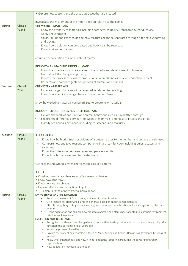|               |                    | • Explore how seasons and the associated weather are created.                                                           |
|---------------|--------------------|-------------------------------------------------------------------------------------------------------------------------|
|               |                    | Investigate the movement of the moon and sun relative to the Earth.                                                     |
| Spring        | Class 4            | <b>CHEMISTRY - MATERIALS</b>                                                                                            |
|               | Year <sub>5</sub>  |                                                                                                                         |
|               |                    | Know the property of materials including hardness, solubility, transparency, conductivity.<br>٠                         |
|               |                    | Apply knowledge of<br>$\bullet$                                                                                         |
|               |                    | solids, liquids and gases to decide how mixtures might be separated through filtering, evaporating                      |
|               |                    | and sieving.                                                                                                            |
|               |                    | Know how a solution can be created and how it can be reversed.<br>$\bullet$                                             |
|               |                    | Know that some changes<br>$\bullet$                                                                                     |
|               |                    |                                                                                                                         |
|               |                    | result in the formation of a new state of matter.                                                                       |
|               |                    | <b>BIOLOGY - ANIMALS INCLUDING HUMANS</b>                                                                               |
|               |                    | Know the timeline to indicate stages in the growth and development of humans.<br>$\bullet$                              |
|               |                    | Learn about the changes in puberty.<br>$\bullet$                                                                        |
|               |                    | Identify the process of sexual reproduction in animals and asexual reproduction in plants.<br>$\bullet$                 |
|               |                    | Research and compare gestation periods of animals and humans.<br>$\bullet$                                              |
| Summer        | Class 4            | <b>CHEMISTRY - MATERIALS</b>                                                                                            |
|               | Year 5             | Explore changes that cannot be reversed in relation to recycling.<br>$\bullet$                                          |
|               |                    | Know how chemical changes have an impact on our lives.<br>$\bullet$                                                     |
|               |                    |                                                                                                                         |
|               |                    | Know how existing materials can be utilised to create new materials.                                                    |
|               |                    |                                                                                                                         |
|               |                    | <b>BIOLOGY - LIVING THINGS AND THEIR HABITATS</b>                                                                       |
|               |                    | Explore the work of naturalist and animal behaviour such as David Attenborough.<br>$\bullet$                            |
|               |                    | Explore the difference between life cycles of mammals, amphibians, insects and birds.<br>$\bullet$                      |
|               |                    | Classify sea animals by Groups including crustaceans and molluscs.<br>$\bullet$                                         |
|               |                    |                                                                                                                         |
|               | Class <sub>5</sub> |                                                                                                                         |
| Autumn        | Year <sub>6</sub>  | <b>ELECTRICITY</b>                                                                                                      |
|               |                    | Know how bulb brightness or volume of a buzzer relates to the number and voltage of cells used.                         |
|               |                    | Compare how and give reasons components in a circuit function including bulbs, buzzers and                              |
|               |                    | switches.                                                                                                               |
|               |                    | Know the difference between series and parallel circuits.                                                               |
|               |                    | Know how buzzers are used to create sirens.                                                                             |
|               |                    | Use recognised symbols when representing circuit diagrams.                                                              |
|               |                    |                                                                                                                         |
|               |                    |                                                                                                                         |
|               |                    | <b>LIGHT</b>                                                                                                            |
|               |                    | • Consider how climate change can affect seasonal change.                                                               |
|               |                    | . Know how light travels.                                                                                               |
|               |                    | • Know how we see objects.                                                                                              |
|               |                    | • Explain reflection and refraction of light.                                                                           |
|               |                    | Explore a range of phenomena incl rainbows.                                                                             |
| <b>Spring</b> | Class 5            | <b>LIVING THINGS AND THEIR HABITATS</b>                                                                                 |
|               | Year <sub>6</sub>  | Research the work of Carl Linaeus, a pioneer for classification.                                                        |
|               |                    | Give reasons for classifying plants and animals based on specific characteristics.                                      |
|               |                    | Classify living things into groups according to observable characteristics incl. microorganisms, plants and<br>animals. |
|               |                    | Define adaptation and explore how mountain animals and plants have adapted to suit their environment                    |
|               |                    | (Mt Everest & Ben Nevis).                                                                                               |
|               |                    | <b>EVOLUTION AND INHERITANCE</b>                                                                                        |
|               |                    | Recognise that things have changed overtime and that fossils provide information about living things that               |
|               |                    | inhabited the earth millions of years ago.                                                                              |
|               |                    | Know the process of fossilisation.<br>$\bullet$                                                                         |
|               |                    | Explore the work of palaeontologist (such as Mary Anning and Charles Darwin has developed his ideas of                  |
|               |                    | evolution).                                                                                                             |
|               |                    | Know what inheritance is and how it links to genetics (offspring producing the same kind through<br>٠<br>reproduction). |